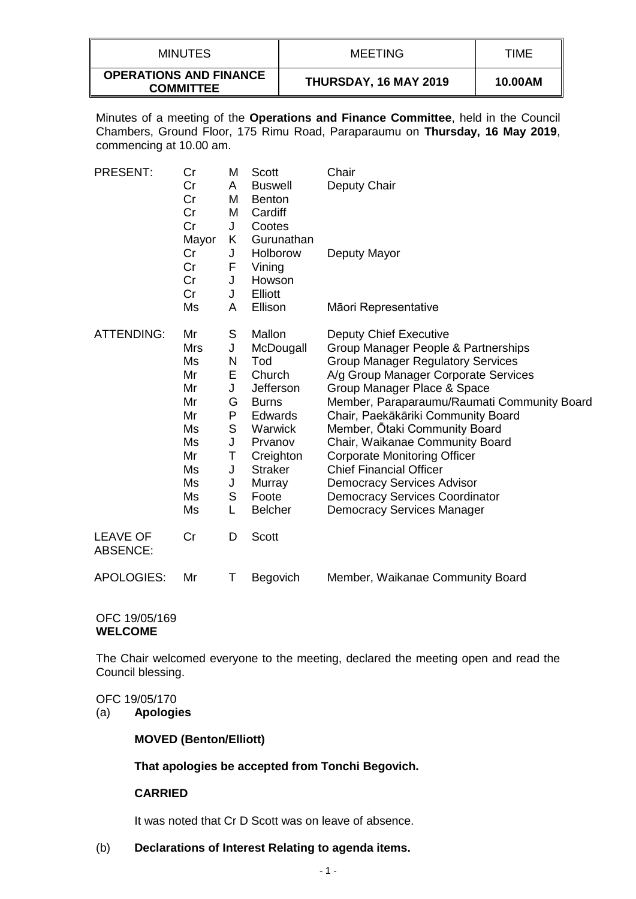| MINUTES                                           | <b>MEETING</b>               | TIME    |
|---------------------------------------------------|------------------------------|---------|
| <b>OPERATIONS AND FINANCE</b><br><b>COMMITTEE</b> | <b>THURSDAY, 16 MAY 2019</b> | 10.00AM |

Minutes of a meeting of the **Operations and Finance Committee**, held in the Council Chambers, Ground Floor, 175 Rimu Road, Paraparaumu on **Thursday, 16 May 2019**, commencing at 10.00 am.

| <b>PRESENT:</b>                    | Cr<br>Cr<br>Cr<br>Cr<br>Cr<br>Mayor                                               | M<br>A<br>M<br>M<br>J<br>Κ                                         | Scott<br><b>Buswell</b><br><b>Benton</b><br>Cardiff<br>Cootes<br>Gurunathan                                                                                                   | Chair<br>Deputy Chair                                                                                                                                                                                                                                                                                                                                                                                                                                                                                                                        |
|------------------------------------|-----------------------------------------------------------------------------------|--------------------------------------------------------------------|-------------------------------------------------------------------------------------------------------------------------------------------------------------------------------|----------------------------------------------------------------------------------------------------------------------------------------------------------------------------------------------------------------------------------------------------------------------------------------------------------------------------------------------------------------------------------------------------------------------------------------------------------------------------------------------------------------------------------------------|
|                                    | Cr<br>Cr<br>Cr<br>Cr                                                              | J<br>F<br>J<br>J                                                   | Holborow<br>Vining<br>Howson<br>Elliott                                                                                                                                       | Deputy Mayor                                                                                                                                                                                                                                                                                                                                                                                                                                                                                                                                 |
|                                    | Ms                                                                                | A                                                                  | Ellison                                                                                                                                                                       | Māori Representative                                                                                                                                                                                                                                                                                                                                                                                                                                                                                                                         |
| <b>ATTENDING:</b>                  | Mr<br>Mrs<br>Ms<br>Mr<br>Mr<br>Mr<br>Mr<br>Ms<br>Ms<br>Mr<br>Ms<br>Ms<br>Ms<br>Ms | S<br>J<br>N<br>Е<br>J<br>G<br>P<br>S<br>J<br>Τ<br>J<br>J<br>S<br>L | Mallon<br>McDougall<br>Tod<br>Church<br>Jefferson<br><b>Burns</b><br><b>Edwards</b><br>Warwick<br>Prvanov<br>Creighton<br><b>Straker</b><br>Murray<br>Foote<br><b>Belcher</b> | <b>Deputy Chief Executive</b><br>Group Manager People & Partnerships<br><b>Group Manager Regulatory Services</b><br>A/g Group Manager Corporate Services<br>Group Manager Place & Space<br>Member, Paraparaumu/Raumati Community Board<br>Chair, Paekākāriki Community Board<br>Member, Ōtaki Community Board<br>Chair, Waikanae Community Board<br><b>Corporate Monitoring Officer</b><br><b>Chief Financial Officer</b><br><b>Democracy Services Advisor</b><br><b>Democracy Services Coordinator</b><br><b>Democracy Services Manager</b> |
| <b>LEAVE OF</b><br><b>ABSENCE:</b> | Cr                                                                                | D                                                                  | <b>Scott</b>                                                                                                                                                                  |                                                                                                                                                                                                                                                                                                                                                                                                                                                                                                                                              |
| <b>APOLOGIES:</b>                  | Mr                                                                                | Τ                                                                  | Begovich                                                                                                                                                                      | Member, Waikanae Community Board                                                                                                                                                                                                                                                                                                                                                                                                                                                                                                             |

#### OFC 19/05/169 **WELCOME**

The Chair welcomed everyone to the meeting, declared the meeting open and read the Council blessing.

#### OFC 19/05/170

(a) **Apologies**

# **MOVED (Benton/Elliott)**

# **That apologies be accepted from Tonchi Begovich.**

# **CARRIED**

It was noted that Cr D Scott was on leave of absence.

# (b) **Declarations of Interest Relating to agenda items.**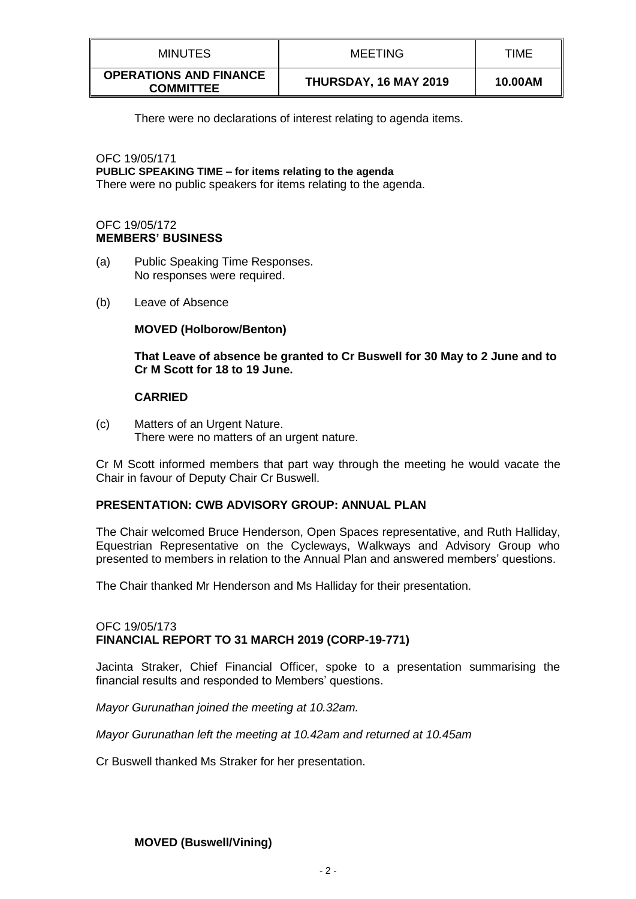| <b>MINUTES</b>                                    | <b>MEETING</b>        | TIME    |
|---------------------------------------------------|-----------------------|---------|
| <b>OPERATIONS AND FINANCE</b><br><b>COMMITTEE</b> | THURSDAY, 16 MAY 2019 | 10.00AM |

There were no declarations of interest relating to agenda items.

OFC 19/05/171 **PUBLIC SPEAKING TIME – for items relating to the agenda** There were no public speakers for items relating to the agenda.

### OFC 19/05/172 **MEMBERS' BUSINESS**

- (a) Public Speaking Time Responses. No responses were required.
- (b) Leave of Absence

### **MOVED (Holborow/Benton)**

**That Leave of absence be granted to Cr Buswell for 30 May to 2 June and to Cr M Scott for 18 to 19 June.**

### **CARRIED**

(c) Matters of an Urgent Nature. There were no matters of an urgent nature.

Cr M Scott informed members that part way through the meeting he would vacate the Chair in favour of Deputy Chair Cr Buswell.

## **PRESENTATION: CWB ADVISORY GROUP: ANNUAL PLAN**

The Chair welcomed Bruce Henderson, Open Spaces representative, and Ruth Halliday, Equestrian Representative on the Cycleways, Walkways and Advisory Group who presented to members in relation to the Annual Plan and answered members' questions.

The Chair thanked Mr Henderson and Ms Halliday for their presentation.

### OFC 19/05/173 **FINANCIAL REPORT TO 31 MARCH 2019 (CORP-19-771)**

Jacinta Straker, Chief Financial Officer, spoke to a presentation summarising the financial results and responded to Members' questions.

*Mayor Gurunathan joined the meeting at 10.32am.*

*Mayor Gurunathan left the meeting at 10.42am and returned at 10.45am*

Cr Buswell thanked Ms Straker for her presentation.

# **MOVED (Buswell/Vining)**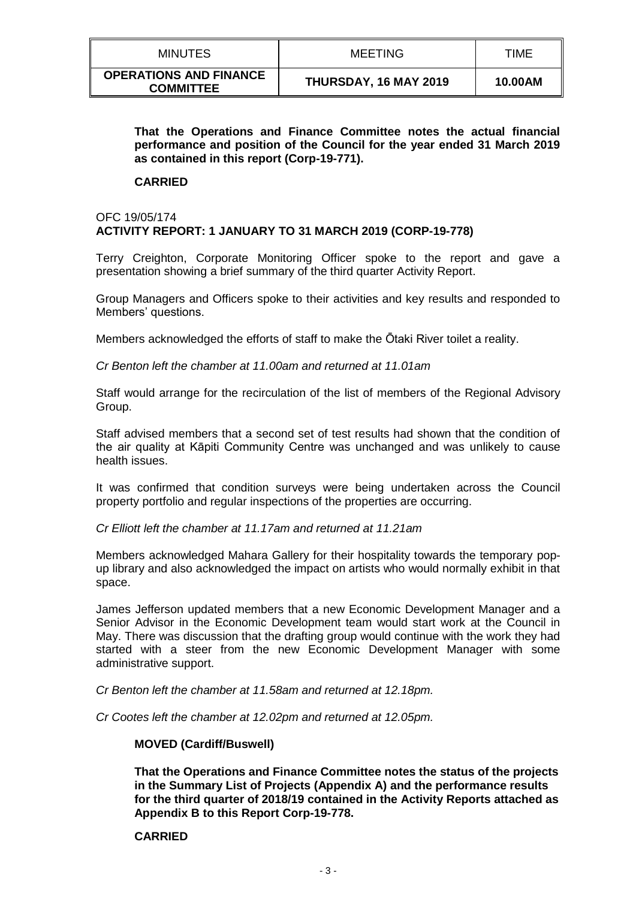| MINUTES                                           | MEETING                      | TIME    |
|---------------------------------------------------|------------------------------|---------|
| <b>OPERATIONS AND FINANCE</b><br><b>COMMITTEE</b> | <b>THURSDAY, 16 MAY 2019</b> | 10.00AM |

### **That the Operations and Finance Committee notes the actual financial performance and position of the Council for the year ended 31 March 2019 as contained in this report (Corp-19-771).**

#### **CARRIED**

# OFC 19/05/174 **ACTIVITY REPORT: 1 JANUARY TO 31 MARCH 2019 (CORP-19-778)**

Terry Creighton, Corporate Monitoring Officer spoke to the report and gave a presentation showing a brief summary of the third quarter Activity Report.

Group Managers and Officers spoke to their activities and key results and responded to Members' questions.

Members acknowledged the efforts of staff to make the Ōtaki River toilet a reality.

*Cr Benton left the chamber at 11.00am and returned at 11.01am*

Staff would arrange for the recirculation of the list of members of the Regional Advisory Group.

Staff advised members that a second set of test results had shown that the condition of the air quality at Kāpiti Community Centre was unchanged and was unlikely to cause health issues.

It was confirmed that condition surveys were being undertaken across the Council property portfolio and regular inspections of the properties are occurring.

*Cr Elliott left the chamber at 11.17am and returned at 11.21am*

Members acknowledged Mahara Gallery for their hospitality towards the temporary popup library and also acknowledged the impact on artists who would normally exhibit in that space.

James Jefferson updated members that a new Economic Development Manager and a Senior Advisor in the Economic Development team would start work at the Council in May. There was discussion that the drafting group would continue with the work they had started with a steer from the new Economic Development Manager with some administrative support.

*Cr Benton left the chamber at 11.58am and returned at 12.18pm.*

*Cr Cootes left the chamber at 12.02pm and returned at 12.05pm.*

#### **MOVED (Cardiff/Buswell)**

**That the Operations and Finance Committee notes the status of the projects in the Summary List of Projects (Appendix A) and the performance results for the third quarter of 2018/19 contained in the Activity Reports attached as Appendix B to this Report Corp-19-778.**

#### **CARRIED**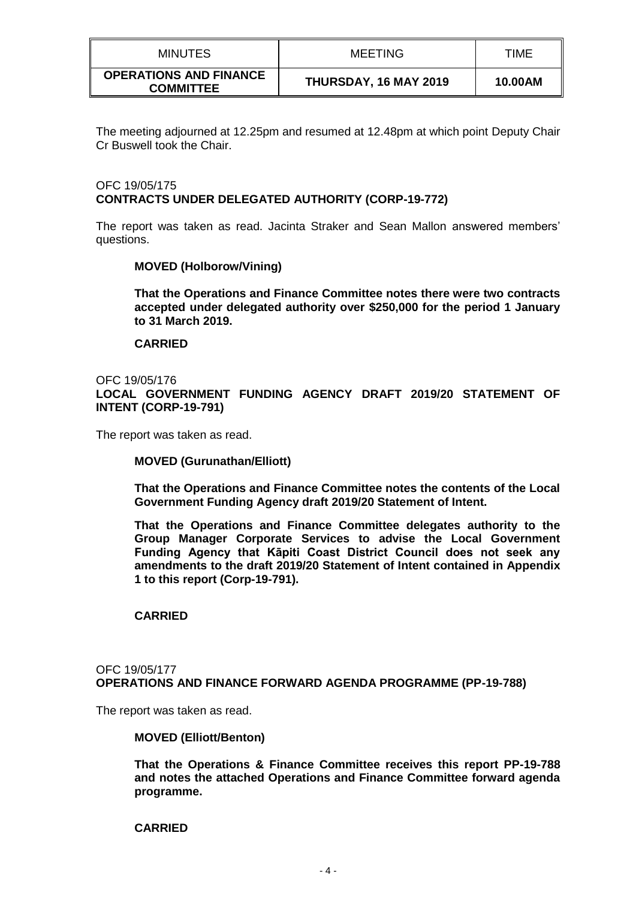| <b>MINUTES</b>                                    | <b>MEETING</b>        | TIME    |
|---------------------------------------------------|-----------------------|---------|
| <b>OPERATIONS AND FINANCE</b><br><b>COMMITTEE</b> | THURSDAY, 16 MAY 2019 | 10.00AM |

The meeting adjourned at 12.25pm and resumed at 12.48pm at which point Deputy Chair Cr Buswell took the Chair.

# OFC 19/05/175 **CONTRACTS UNDER DELEGATED AUTHORITY (CORP-19-772)**

The report was taken as read. Jacinta Straker and Sean Mallon answered members' questions.

### **MOVED (Holborow/Vining)**

**That the Operations and Finance Committee notes there were two contracts accepted under delegated authority over \$250,000 for the period 1 January to 31 March 2019.**

### **CARRIED**

OFC 19/05/176 **LOCAL GOVERNMENT FUNDING AGENCY DRAFT 2019/20 STATEMENT OF INTENT (CORP-19-791)**

The report was taken as read.

#### **MOVED (Gurunathan/Elliott)**

**That the Operations and Finance Committee notes the contents of the Local Government Funding Agency draft 2019/20 Statement of Intent.**

**That the Operations and Finance Committee delegates authority to the Group Manager Corporate Services to advise the Local Government Funding Agency that Kāpiti Coast District Council does not seek any amendments to the draft 2019/20 Statement of Intent contained in Appendix 1 to this report (Corp-19-791).**

### **CARRIED**

#### OFC 19/05/177 **OPERATIONS AND FINANCE FORWARD AGENDA PROGRAMME (PP-19-788)**

The report was taken as read.

**MOVED (Elliott/Benton)**

**That the Operations & Finance Committee receives this report PP-19-788 and notes the attached Operations and Finance Committee forward agenda programme.** 

#### **CARRIED**